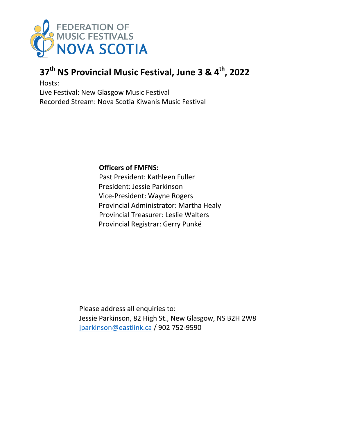

# **37th NS Provincial Music Festival, June 3 & 4th, 2022**

Hosts:

Live Festival: New Glasgow Music Festival Recorded Stream: Nova Scotia Kiwanis Music Festival

**Officers of FMFNS:**

Past President: Kathleen Fuller President: Jessie Parkinson Vice-President: Wayne Rogers Provincial Administrator: Martha Healy Provincial Treasurer: Leslie Walters Provincial Registrar: Gerry Punké

Please address all enquiries to: Jessie Parkinson, 82 High St., New Glasgow, NS B2H 2W8 [jparkinson@eastlink.ca](mailto:jparkinson@eastlink.ca) / 902 752-9590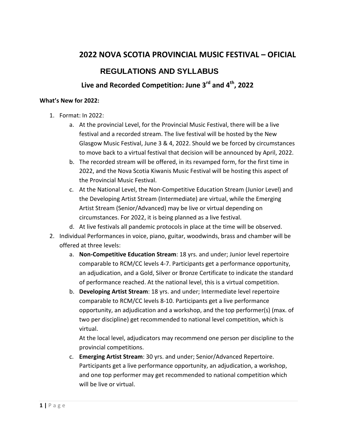## **2022 NOVA SCOTIA PROVINCIAL MUSIC FESTIVAL – OFICIAL**

## **REGULATIONS AND SYLLABUS**

## **Live and Recorded Competition: June 3rd and 4th, 2022**

## **What's New for 2022:**

- 1. Format: In 2022:
	- a. At the provincial Level, for the Provincial Music Festival, there will be a live festival and a recorded stream. The live festival will be hosted by the New Glasgow Music Festival, June 3 & 4, 2022. Should we be forced by circumstances to move back to a virtual festival that decision will be announced by April, 2022.
	- b. The recorded stream will be offered, in its revamped form, for the first time in 2022, and the Nova Scotia Kiwanis Music Festival will be hosting this aspect of the Provincial Music Festival.
	- c. At the National Level, the Non-Competitive Education Stream (Junior Level) and the Developing Artist Stream (Intermediate) are virtual, while the Emerging Artist Stream (Senior/Advanced) may be live or virtual depending on circumstances. For 2022, it is being planned as a live festival.
	- d. At live festivals all pandemic protocols in place at the time will be observed.
- 2. Individual Performances in voice, piano, guitar, woodwinds, brass and chamber will be offered at three levels:
	- a. **Non-Competitive Education Stream**: 18 yrs. and under; Junior level repertoire comparable to RCM/CC levels 4-7. Participants get a performance opportunity, an adjudication, and a Gold, Silver or Bronze Certificate to indicate the standard of performance reached. At the national level, this is a virtual competition.
	- b. **Developing Artist Stream**: 18 yrs. and under; Intermediate level repertoire comparable to RCM/CC levels 8-10. Participants get a live performance opportunity, an adjudication and a workshop, and the top performer(s) (max. of two per discipline) get recommended to national level competition, which is virtual.

At the local level, adjudicators may recommend one person per discipline to the provincial competitions.

c. **Emerging Artist Stream**: 30 yrs. and under; Senior/Advanced Repertoire. Participants get a live performance opportunity, an adjudication, a workshop, and one top performer may get recommended to national competition which will be live or virtual.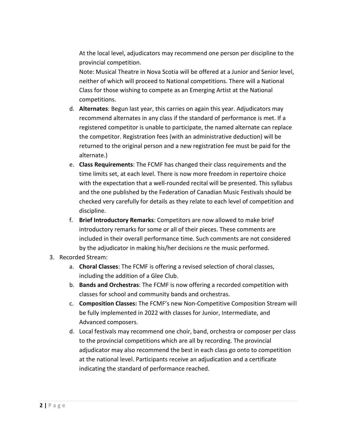At the local level, adjudicators may recommend one person per discipline to the provincial competition.

Note: Musical Theatre in Nova Scotia will be offered at a Junior and Senior level, neither of which will proceed to National competitions. There will a National Class for those wishing to compete as an Emerging Artist at the National competitions.

- d. **Alternates**: Begun last year, this carries on again this year. Adjudicators may recommend alternates in any class if the standard of performance is met. If a registered competitor is unable to participate, the named alternate can replace the competitor. Registration fees (with an administrative deduction) will be returned to the original person and a new registration fee must be paid for the alternate.)
- e. **Class Requirements**: The FCMF has changed their class requirements and the time limits set, at each level. There is now more freedom in repertoire choice with the expectation that a well-rounded recital will be presented. This syllabus and the one published by the Federation of Canadian Music Festivals should be checked very carefully for details as they relate to each level of competition and discipline.
- f. **Brief Introductory Remarks**: Competitors are now allowed to make brief introductory remarks for some or all of their pieces. These comments are included in their overall performance time. Such comments are not considered by the adjudicator in making his/her decisions re the music performed.

## 3. Recorded Stream:

- a. **Choral Classes**: The FCMF is offering a revised selection of choral classes, including the addition of a Glee Club.
- b. **Bands and Orchestras**: The FCMF is now offering a recorded competition with classes for school and community bands and orchestras.
- c. **Composition Classes:** The FCMF's new Non-Competitive Composition Stream will be fully implemented in 2022 with classes for Junior, Intermediate, and Advanced composers.
- d. Local festivals may recommend one choir, band, orchestra or composer per class to the provincial competitions which are all by recording. The provincial adjudicator may also recommend the best in each class go onto to competition at the national level. Participants receive an adjudication and a certificate indicating the standard of performance reached.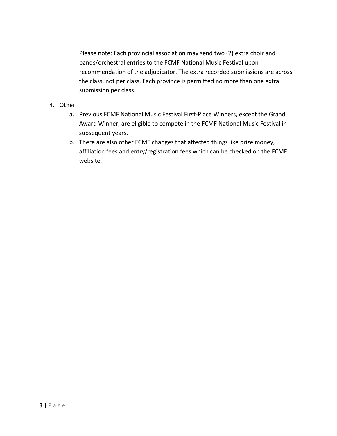Please note: Each provincial association may send two (2) extra choir and bands/orchestral entries to the FCMF National Music Festival upon recommendation of the adjudicator. The extra recorded submissions are across the class, not per class. Each province is permitted no more than one extra submission per class.

- 4. Other:
	- a. Previous FCMF National Music Festival First-Place Winners, except the Grand Award Winner, are eligible to compete in the FCMF National Music Festival in subsequent years.
	- b. There are also other FCMF changes that affected things like prize money, affiliation fees and entry/registration fees which can be checked on the FCMF website.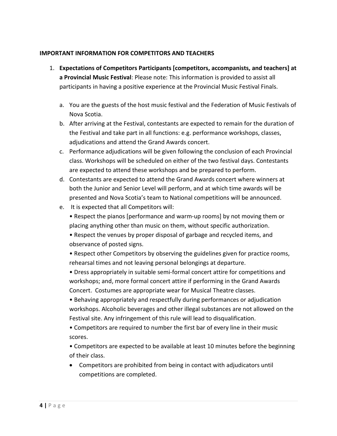## **IMPORTANT INFORMATION FOR COMPETITORS AND TEACHERS**

- 1. **Expectations of Competitors Participants [competitors, accompanists, and teachers] at a Provincial Music Festival**: Please note: This information is provided to assist all participants in having a positive experience at the Provincial Music Festival Finals.
	- a. You are the guests of the host music festival and the Federation of Music Festivals of Nova Scotia.
	- b. After arriving at the Festival, contestants are expected to remain for the duration of the Festival and take part in all functions: e.g. performance workshops, classes, adjudications and attend the Grand Awards concert.
	- c. Performance adjudications will be given following the conclusion of each Provincial class. Workshops will be scheduled on either of the two festival days. Contestants are expected to attend these workshops and be prepared to perform.
	- d. Contestants are expected to attend the Grand Awards concert where winners at both the Junior and Senior Level will perform, and at which time awards will be presented and Nova Scotia's team to National competitions will be announced.
	- e. It is expected that all Competitors will:
		- Respect the pianos [performance and warm-up rooms] by not moving them or placing anything other than music on them, without specific authorization.
		- Respect the venues by proper disposal of garbage and recycled items, and observance of posted signs.
		- Respect other Competitors by observing the guidelines given for practice rooms, rehearsal times and not leaving personal belongings at departure.
		- Dress appropriately in suitable semi-formal concert attire for competitions and workshops; and, more formal concert attire if performing in the Grand Awards Concert. Costumes are appropriate wear for Musical Theatre classes.
		- Behaving appropriately and respectfully during performances or adjudication workshops. Alcoholic beverages and other illegal substances are not allowed on the Festival site. Any infringement of this rule will lead to disqualification.
		- Competitors are required to number the first bar of every line in their music scores.
		- Competitors are expected to be available at least 10 minutes before the beginning of their class.
		- Competitors are prohibited from being in contact with adjudicators until competitions are completed.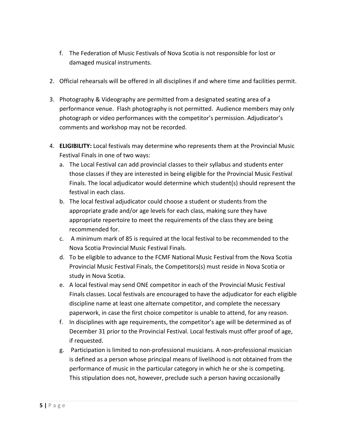- f. The Federation of Music Festivals of Nova Scotia is not responsible for lost or damaged musical instruments.
- 2. Official rehearsals will be offered in all disciplines if and where time and facilities permit.
- 3. Photography & Videography are permitted from a designated seating area of a performance venue. Flash photography is not permitted. Audience members may only photograph or video performances with the competitor's permission. Adjudicator's comments and workshop may not be recorded.
- 4. **ELIGIBILITY:** Local festivals may determine who represents them at the Provincial Music Festival Finals in one of two ways:
	- a. The Local Festival can add provincial classes to their syllabus and students enter those classes if they are interested in being eligible for the Provincial Music Festival Finals. The local adjudicator would determine which student(s) should represent the festival in each class.
	- b. The local festival adjudicator could choose a student or students from the appropriate grade and/or age levels for each class, making sure they have appropriate repertoire to meet the requirements of the class they are being recommended for.
	- c. A minimum mark of 85 is required at the local festival to be recommended to the Nova Scotia Provincial Music Festival Finals.
	- d. To be eligible to advance to the FCMF National Music Festival from the Nova Scotia Provincial Music Festival Finals, the Competitors(s) must reside in Nova Scotia or study in Nova Scotia.
	- e. A local festival may send ONE competitor in each of the Provincial Music Festival Finals classes. Local festivals are encouraged to have the adjudicator for each eligible discipline name at least one alternate competitor, and complete the necessary paperwork, in case the first choice competitor is unable to attend, for any reason.
	- f. In disciplines with age requirements, the competitor's age will be determined as of December 31 prior to the Provincial Festival. Local festivals must offer proof of age, if requested.
	- g. Participation is limited to non-professional musicians. A non-professional musician is defined as a person whose principal means of livelihood is not obtained from the performance of music in the particular category in which he or she is competing. This stipulation does not, however, preclude such a person having occasionally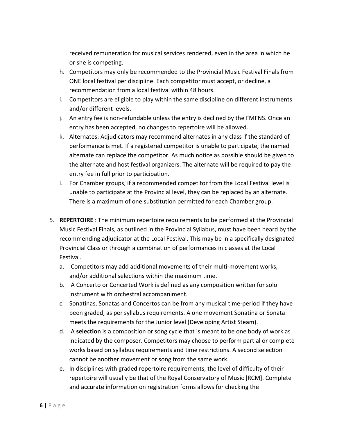received remuneration for musical services rendered, even in the area in which he or she is competing.

- h. Competitors may only be recommended to the Provincial Music Festival Finals from ONE local festival per discipline. Each competitor must accept, or decline, a recommendation from a local festival within 48 hours.
- i. Competitors are eligible to play within the same discipline on different instruments and/or different levels.
- j. An entry fee is non-refundable unless the entry is declined by the FMFNS. Once an entry has been accepted, no changes to repertoire will be allowed.
- k. Alternates: Adjudicators may recommend alternates in any class if the standard of performance is met. If a registered competitor is unable to participate, the named alternate can replace the competitor. As much notice as possible should be given to the alternate and host festival organizers. The alternate will be required to pay the entry fee in full prior to participation.
- l. For Chamber groups, if a recommended competitor from the Local Festival level is unable to participate at the Provincial level, they can be replaced by an alternate. There is a maximum of one substitution permitted for each Chamber group.
- 5. **REPERTOIRE** : The minimum repertoire requirements to be performed at the Provincial Music Festival Finals, as outlined in the Provincial Syllabus, must have been heard by the recommending adjudicator at the Local Festival. This may be in a specifically designated Provincial Class or through a combination of performances in classes at the Local Festival.
	- a. Competitors may add additional movements of their multi-movement works, and/or additional selections within the maximum time.
	- b. A Concerto or Concerted Work is defined as any composition written for solo instrument with orchestral accompaniment.
	- c. Sonatinas, Sonatas and Concertos can be from any musical time-period if they have been graded, as per syllabus requirements. A one movement Sonatina or Sonata meets the requirements for the Junior level (Developing Artist Steam).
	- d. A **selection** is a composition or song cycle that is meant to be one body of work as indicated by the composer. Competitors may choose to perform partial or complete works based on syllabus requirements and time restrictions. A second selection cannot be another movement or song from the same work.
	- e. In disciplines with graded repertoire requirements, the level of difficulty of their repertoire will usually be that of the Royal Conservatory of Music [RCM]. Complete and accurate information on registration forms allows for checking the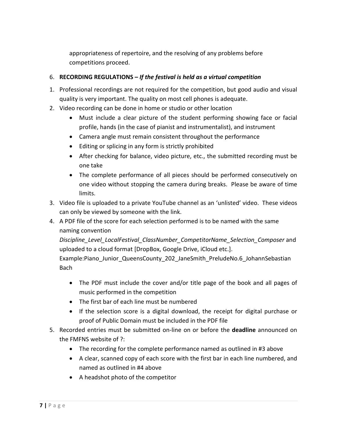appropriateness of repertoire, and the resolving of any problems before competitions proceed.

## 6. **RECORDING REGULATIONS –** *If the festival is held as a virtual competition*

- 1. Professional recordings are not required for the competition, but good audio and visual quality is very important. The quality on most cell phones is adequate.
- 2. Video recording can be done in home or studio or other location
	- Must include a clear picture of the student performing showing face or facial profile, hands (in the case of pianist and instrumentalist), and instrument
	- Camera angle must remain consistent throughout the performance
	- Editing or splicing in any form is strictly prohibited
	- After checking for balance, video picture, etc., the submitted recording must be one take
	- The complete performance of all pieces should be performed consecutively on one video without stopping the camera during breaks. Please be aware of time limits.
- 3. Video file is uploaded to a private YouTube channel as an 'unlisted' video. These videos can only be viewed by someone with the link.
- 4. A PDF file of the score for each selection performed is to be named with the same naming convention

*Discipline\_Level\_LocalFestival\_ClassNumber\_CompetitorName\_Selection\_Composer* and uploaded to a cloud format [DropBox, Google Drive, iCloud etc.].

Example:Piano Junior QueensCounty 202 JaneSmith PreludeNo.6 JohannSebastian Bach

- The PDF must include the cover and/or title page of the book and all pages of music performed in the competition
- The first bar of each line must be numbered
- If the selection score is a digital download, the receipt for digital purchase or proof of Public Domain must be included in the PDF file
- 5. Recorded entries must be submitted on-line on or before the **deadline** announced on the FMFNS website of ?:
	- The recording for the complete performance named as outlined in #3 above
	- A clear, scanned copy of each score with the first bar in each line numbered, and named as outlined in #4 above
	- A headshot photo of the competitor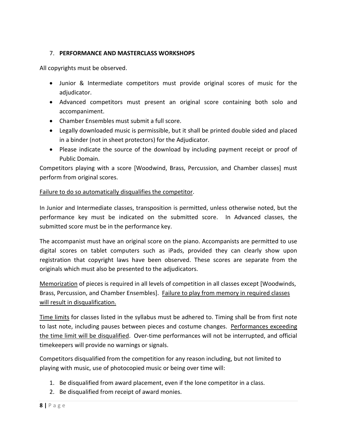## 7. **PERFORMANCE AND MASTERCLASS WORKSHOPS**

All copyrights must be observed.

- Junior & Intermediate competitors must provide original scores of music for the adjudicator.
- Advanced competitors must present an original score containing both solo and accompaniment.
- Chamber Ensembles must submit a full score.
- Legally downloaded music is permissible, but it shall be printed double sided and placed in a binder (not in sheet protectors) for the Adjudicator.
- Please indicate the source of the download by including payment receipt or proof of Public Domain.

Competitors playing with a score [Woodwind, Brass, Percussion, and Chamber classes] must perform from original scores.

## Failure to do so automatically disqualifies the competitor.

In Junior and Intermediate classes, transposition is permitted, unless otherwise noted, but the performance key must be indicated on the submitted score. In Advanced classes, the submitted score must be in the performance key.

The accompanist must have an original score on the piano. Accompanists are permitted to use digital scores on tablet computers such as iPads, provided they can clearly show upon registration that copyright laws have been observed. These scores are separate from the originals which must also be presented to the adjudicators.

Memorization of pieces is required in all levels of competition in all classes except [Woodwinds, Brass, Percussion, and Chamber Ensembles]. Failure to play from memory in required classes will result in disqualification.

Time limits for classes listed in the syllabus must be adhered to. Timing shall be from first note to last note, including pauses between pieces and costume changes. Performances exceeding the time limit will be disqualified. Over-time performances will not be interrupted, and official timekeepers will provide no warnings or signals.

Competitors disqualified from the competition for any reason including, but not limited to playing with music, use of photocopied music or being over time will:

- 1. Be disqualified from award placement, even if the lone competitor in a class.
- 2. Be disqualified from receipt of award monies.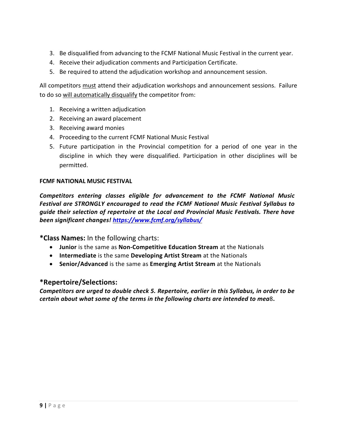- 3. Be disqualified from advancing to the FCMF National Music Festival in the current year.
- 4. Receive their adjudication comments and Participation Certificate.
- 5. Be required to attend the adjudication workshop and announcement session.

All competitors must attend their adjudication workshops and announcement sessions. Failure to do so will automatically disqualify the competitor from:

- 1. Receiving a written adjudication
- 2. Receiving an award placement
- 3. Receiving award monies
- 4. Proceeding to the current FCMF National Music Festival
- 5. Future participation in the Provincial competition for a period of one year in the discipline in which they were disqualified. Participation in other disciplines will be permitted.

## **FCMF NATIONAL MUSIC FESTIVAL**

*Competitors entering classes eligible for advancement to the FCMF National Music Festival are STRONGLY encouraged to read the FCMF National Music Festival Syllabus to guide their selection of repertoire at the Local and Provincial Music Festivals. There have been significant changes!<https://www.fcmf.org/syllabus/>*

**\*Class Names:** In the following charts:

- **Junior** is the same as **Non-Competitive Education Stream** at the Nationals
- **Intermediate** is the same **Developing Artist Stream** at the Nationals
- **Senior/Advanced** is the same as **Emerging Artist Stream** at the Nationals

## **\*Repertoire/Selections:**

*Competitors are urged to double check 5. Repertoire, earlier in this Syllabus, in order to be certain about what some of the terms in the following charts are intended to mea*8**.**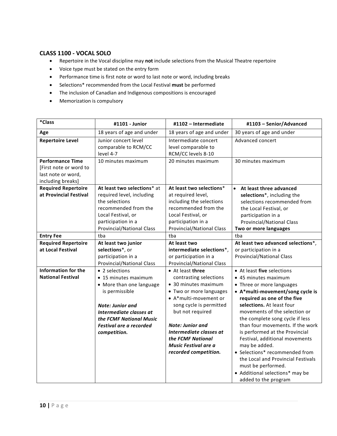### **CLASS 1100 - VOCAL SOLO**

- Repertoire in the Vocal discipline may **not** include selections from the Musical Theatre repertoire
- Voice type must be stated on the entry form
- Performance time is first note or word to last note or word, including breaks
- Selections\* recommended from the Local Festival **must** be performed
- The inclusion of Canadian and Indigenous compositions is encouraged
- Memorization is compulsory

| *Class                                                                       | #1101 - Junior                                                                                                                                                                                                   | #1102 - Intermediate                                                                                                                                                                                                                                                                              | #1103 - Senior/Advanced                                                                                                                                                                                                                                                                                                                                                                                                                                                                                                               |
|------------------------------------------------------------------------------|------------------------------------------------------------------------------------------------------------------------------------------------------------------------------------------------------------------|---------------------------------------------------------------------------------------------------------------------------------------------------------------------------------------------------------------------------------------------------------------------------------------------------|---------------------------------------------------------------------------------------------------------------------------------------------------------------------------------------------------------------------------------------------------------------------------------------------------------------------------------------------------------------------------------------------------------------------------------------------------------------------------------------------------------------------------------------|
| Age                                                                          | 18 years of age and under                                                                                                                                                                                        | 18 years of age and under                                                                                                                                                                                                                                                                         | 30 years of age and under                                                                                                                                                                                                                                                                                                                                                                                                                                                                                                             |
| <b>Repertoire Level</b><br><b>Performance Time</b><br>[First note or word to | Junior concert level<br>comparable to RCM/CC<br>level 4-7<br>10 minutes maximum                                                                                                                                  | Intermediate concert<br>level comparable to<br>RCM/CC levels 8-10<br>20 minutes maximum                                                                                                                                                                                                           | Advanced concert<br>30 minutes maximum                                                                                                                                                                                                                                                                                                                                                                                                                                                                                                |
| last note or word,<br>including breaks]                                      |                                                                                                                                                                                                                  |                                                                                                                                                                                                                                                                                                   |                                                                                                                                                                                                                                                                                                                                                                                                                                                                                                                                       |
| <b>Required Repertoire</b><br>at Provincial Festival                         | At least two selections* at<br>required level, including<br>the selections<br>recommended from the<br>Local Festival, or<br>participation in a<br>Provincial/National Class                                      | At least two selections*<br>at required level,<br>including the selections<br>recommended from the<br>Local Festival, or<br>participation in a<br><b>Provincial/National Class</b>                                                                                                                | • At least three advanced<br>selections*, including the<br>selections recommended from<br>the Local Festival, or<br>participation in a<br>Provincial/National Class<br>Two or more languages                                                                                                                                                                                                                                                                                                                                          |
| <b>Entry Fee</b>                                                             | tba                                                                                                                                                                                                              | tba                                                                                                                                                                                                                                                                                               | tba                                                                                                                                                                                                                                                                                                                                                                                                                                                                                                                                   |
| <b>Required Repertoire</b><br>at Local Festival                              | At least two junior<br>selections*, or<br>participation in a<br><b>Provincial/National Class</b>                                                                                                                 | At least two<br>intermediate selections*,<br>or participation in a<br><b>Provincial/National Class</b>                                                                                                                                                                                            | At least two advanced selections*,<br>or participation in a<br><b>Provincial/National Class</b>                                                                                                                                                                                                                                                                                                                                                                                                                                       |
| <b>Information for the</b><br><b>National Festival</b>                       | • 2 selections<br>• 15 minutes maximum<br>• More than one language<br>is permissible<br><b>Note: Junior and</b><br>Intermediate classes at<br>the FCMF National Music<br>Festival are a recorded<br>competition. | • At least three<br>contrasting selections<br>• 30 minutes maximum<br>• Two or more languages<br>• A*multi-movement or<br>song cycle is permitted<br>but not required<br><b>Note: Junior and</b><br>Intermediate classes at<br>the FCMF National<br>Music Festival are a<br>recorded competition. | • At least five selections<br>• 45 minutes maximum<br>• Three or more languages<br>• A*multi-movement/song cycle is<br>required as one of the five<br>selections. At least four<br>movements of the selection or<br>the complete song cycle if less<br>than four movements. If the work<br>is performed at the Provincial<br>Festival, additional movements<br>may be added.<br>• Selections* recommended from<br>the Local and Provincial Festivals<br>must be performed.<br>• Additional selections* may be<br>added to the program |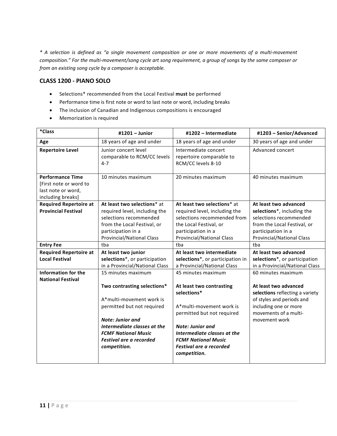*\* A selection is defined as "a single movement composition or one or more movements of a multi-movement composition." For the multi-movement/song cycle art song requirement, a group of songs by the same composer or from an existing song cycle by a composer is acceptable.*

#### **CLASS 1200 - PIANO SOLO**

- Selections\* recommended from the Local Festival **must** be performed
- Performance time is first note or word to last note or word, including breaks
- The inclusion of Canadian and Indigenous compositions is encouraged
- Memorization is required

| *Class                                                                                       | #1201 - Junior                                                                                                                                                                                                                                 | #1202 - Intermediate                                                                                                                                                                                                                                              | #1203 - Senior/Advanced                                                                                                                                                        |
|----------------------------------------------------------------------------------------------|------------------------------------------------------------------------------------------------------------------------------------------------------------------------------------------------------------------------------------------------|-------------------------------------------------------------------------------------------------------------------------------------------------------------------------------------------------------------------------------------------------------------------|--------------------------------------------------------------------------------------------------------------------------------------------------------------------------------|
| Age                                                                                          | 18 years of age and under                                                                                                                                                                                                                      | 18 years of age and under                                                                                                                                                                                                                                         | 30 years of age and under                                                                                                                                                      |
| <b>Repertoire Level</b>                                                                      | Junior concert level<br>comparable to RCM/CC levels<br>4-7                                                                                                                                                                                     | Intermediate concert<br>repertoire comparable to<br>RCM/CC levels 8-10                                                                                                                                                                                            | Advanced concert                                                                                                                                                               |
| <b>Performance Time</b><br>[First note or word to<br>last note or word,<br>including breaks] | 10 minutes maximum                                                                                                                                                                                                                             | 20 minutes maximum                                                                                                                                                                                                                                                | 40 minutes maximum                                                                                                                                                             |
| <b>Required Repertoire at</b>                                                                | At least two selections* at                                                                                                                                                                                                                    | At least two selections* at                                                                                                                                                                                                                                       | At least two advanced                                                                                                                                                          |
| <b>Provincial Festival</b>                                                                   | required level, including the<br>selections recommended<br>from the Local Festival, or<br>participation in a<br><b>Provincial/National Class</b>                                                                                               | required level, including the<br>selections recommended from<br>the Local Festival, or<br>participation in a<br>Provincial/National Class                                                                                                                         | selections*, including the<br>selections recommended<br>from the Local Festival, or<br>participation in a<br>Provincial/National Class                                         |
| <b>Entry Fee</b>                                                                             | tba                                                                                                                                                                                                                                            | tba                                                                                                                                                                                                                                                               | tba                                                                                                                                                                            |
| <b>Required Repertoire at</b>                                                                | At least two junior                                                                                                                                                                                                                            | At least two intermediate                                                                                                                                                                                                                                         | At least two advanced                                                                                                                                                          |
| <b>Local Festival</b>                                                                        | selections*, or participation<br>in a Provincial/National Class                                                                                                                                                                                | selections*, or participation in<br>a Provincial/National Class                                                                                                                                                                                                   | selections*, or participation<br>in a Provincial/National Class                                                                                                                |
| <b>Information for the</b><br><b>National Festival</b>                                       | 15 minutes maximum<br>Two contrasting selections*<br>A*multi-movement work is<br>permitted but not required<br><b>Note: Junior and</b><br>Intermediate classes at the<br><b>FCMF National Music</b><br>Festival are a recorded<br>competition. | 45 minutes maximum<br>At least two contrasting<br>selections*<br>A*multi-movement work is<br>permitted but not required<br><b>Note: Junior and</b><br>Intermediate classes at the<br><b>FCMF National Music</b><br><b>Festival are a recorded</b><br>competition. | 60 minutes maximum<br>At least two advanced<br>selections reflecting a variety<br>of styles and periods and<br>including one or more<br>movements of a multi-<br>movement work |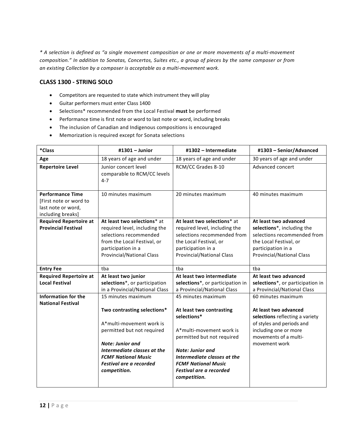#### **CLASS 1300 - STRING SOLO**

- Competitors are requested to state which instrument they will play
- Guitar performers must enter Class 1400
- Selections\* recommended from the Local Festival **must** be performed
- Performance time is first note or word to last note or word, including breaks
- The inclusion of Canadian and Indigenous compositions is encouraged
- Memorization is required except for Sonata selections

| *Class                                                                                       | #1301 - Junior                                                                                                                                                                                                                  | #1302 - Intermediate                                                                                                                                                                                                                 | #1303 - Senior/Advanced                                                                                                                                  |
|----------------------------------------------------------------------------------------------|---------------------------------------------------------------------------------------------------------------------------------------------------------------------------------------------------------------------------------|--------------------------------------------------------------------------------------------------------------------------------------------------------------------------------------------------------------------------------------|----------------------------------------------------------------------------------------------------------------------------------------------------------|
| Age                                                                                          | 18 years of age and under                                                                                                                                                                                                       | 18 years of age and under                                                                                                                                                                                                            | 30 years of age and under                                                                                                                                |
| <b>Repertoire Level</b>                                                                      | Junior concert level<br>comparable to RCM/CC levels<br>$4 - 7$                                                                                                                                                                  | RCM/CC Grades 8-10                                                                                                                                                                                                                   | Advanced concert                                                                                                                                         |
| <b>Performance Time</b><br>[First note or word to<br>last note or word,<br>including breaks] | 10 minutes maximum                                                                                                                                                                                                              | 20 minutes maximum                                                                                                                                                                                                                   | 40 minutes maximum                                                                                                                                       |
| <b>Required Repertoire at</b><br><b>Provincial Festival</b>                                  | At least two selections* at                                                                                                                                                                                                     | At least two selections* at                                                                                                                                                                                                          | At least two advanced                                                                                                                                    |
|                                                                                              | required level, including the<br>selections recommended                                                                                                                                                                         | required level, including the<br>selections recommended from                                                                                                                                                                         | selections*, including the<br>selections recommended from                                                                                                |
|                                                                                              | from the Local Festival, or                                                                                                                                                                                                     | the Local Festival, or                                                                                                                                                                                                               | the Local Festival, or                                                                                                                                   |
|                                                                                              | participation in a<br>Provincial/National Class                                                                                                                                                                                 | participation in a<br><b>Provincial/National Class</b>                                                                                                                                                                               | participation in a<br><b>Provincial/National Class</b>                                                                                                   |
| <b>Entry Fee</b>                                                                             | tba                                                                                                                                                                                                                             | tba                                                                                                                                                                                                                                  | tba                                                                                                                                                      |
| <b>Required Repertoire at</b>                                                                | At least two junior                                                                                                                                                                                                             | At least two intermediate                                                                                                                                                                                                            | At least two advanced                                                                                                                                    |
| <b>Local Festival</b>                                                                        | selections*, or participation<br>in a Provincial/National Class                                                                                                                                                                 | selections*, or participation in<br>a Provincial/National Class                                                                                                                                                                      | selections*, or participation in<br>a Provincial/National Class                                                                                          |
| Information for the<br><b>National Festival</b>                                              | 15 minutes maximum                                                                                                                                                                                                              | 45 minutes maximum                                                                                                                                                                                                                   | 60 minutes maximum                                                                                                                                       |
|                                                                                              | Two contrasting selections*<br>A*multi-movement work is<br>permitted but not required<br><b>Note: Junior and</b><br>Intermediate classes at the<br><b>FCMF National Music</b><br><b>Festival are a recorded</b><br>competition. | At least two contrasting<br>selections*<br>A*multi-movement work is<br>permitted but not required<br><b>Note: Junior and</b><br>Intermediate classes at the<br><b>FCMF National Music</b><br>Festival are a recorded<br>competition. | At least two advanced<br>selections reflecting a variety<br>of styles and periods and<br>including one or more<br>movements of a multi-<br>movement work |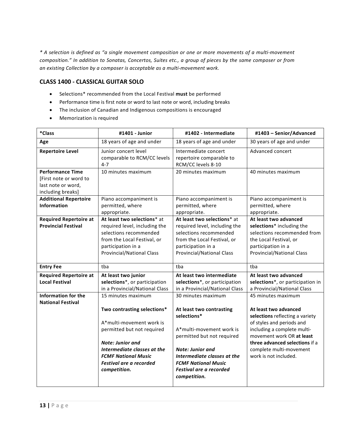### **CLASS 1400 - CLASSICAL GUITAR SOLO**

- Selections\* recommended from the Local Festival **must** be performed
- Performance time is first note or word to last note or word, including breaks
- The inclusion of Canadian and Indigenous compositions is encouraged
- Memorization is required

| $*Class$                                                                                     | #1401 - Junior                                                                                                                                                                                                    | #1402 - Intermediate                                                                                                                                                                                                                        | #1403 - Senior/Advanced                                                                                                                                                                                                                 |
|----------------------------------------------------------------------------------------------|-------------------------------------------------------------------------------------------------------------------------------------------------------------------------------------------------------------------|---------------------------------------------------------------------------------------------------------------------------------------------------------------------------------------------------------------------------------------------|-----------------------------------------------------------------------------------------------------------------------------------------------------------------------------------------------------------------------------------------|
| Age                                                                                          | 18 years of age and under                                                                                                                                                                                         | 18 years of age and under                                                                                                                                                                                                                   | 30 years of age and under                                                                                                                                                                                                               |
| <b>Repertoire Level</b>                                                                      | Junior concert level<br>comparable to RCM/CC levels<br>$4 - 7$                                                                                                                                                    | Intermediate concert<br>repertoire comparable to<br>RCM/CC levels 8-10                                                                                                                                                                      | Advanced concert                                                                                                                                                                                                                        |
| <b>Performance Time</b><br>[First note or word to<br>last note or word,<br>including breaks] | 10 minutes maximum                                                                                                                                                                                                | 20 minutes maximum                                                                                                                                                                                                                          | 40 minutes maximum                                                                                                                                                                                                                      |
| <b>Additional Repertoire</b><br><b>Information</b>                                           | Piano accompaniment is<br>permitted, where<br>appropriate.                                                                                                                                                        | Piano accompaniment is<br>permitted, where<br>appropriate.                                                                                                                                                                                  | Piano accompaniment is<br>permitted, where<br>appropriate.                                                                                                                                                                              |
| <b>Required Repertoire at</b><br><b>Provincial Festival</b>                                  | At least two selections* at<br>required level, including the<br>selections recommended<br>from the Local Festival, or<br>participation in a<br><b>Provincial/National Class</b>                                   | At least two selections* at<br>required level, including the<br>selections recommended<br>from the Local Festival, or<br>participation in a<br>Provincial/National Class                                                                    | At least two advanced<br>selections* including the<br>selections recommended from<br>the Local Festival, or<br>participation in a<br><b>Provincial/National Class</b>                                                                   |
| <b>Entry Fee</b>                                                                             | tba                                                                                                                                                                                                               | tba                                                                                                                                                                                                                                         | tba                                                                                                                                                                                                                                     |
| <b>Required Repertoire at</b><br><b>Local Festival</b><br><b>Information for the</b>         | At least two junior<br>selections*, or participation<br>in a Provincial/National Class<br>15 minutes maximum                                                                                                      | At least two intermediate<br>selections*, or participation<br>in a Provincial/National Class<br>30 minutes maximum                                                                                                                          | At least two advanced<br>selections*, or participation in<br>a Provincial/National Class<br>45 minutes maximum                                                                                                                          |
| <b>National Festival</b>                                                                     | Two contrasting selections*<br>A*multi-movement work is<br>permitted but not required<br>Note: Junior and<br>Intermediate classes at the<br><b>FCMF National Music</b><br>Festival are a recorded<br>competition. | At least two contrasting<br>selections*<br>A*multi-movement work is<br>permitted but not required<br><b>Note: Junior and</b><br>Intermediate classes at the<br><b>FCMF National Music</b><br><b>Festival are a recorded</b><br>competition. | At least two advanced<br>selections reflecting a variety<br>of styles and periods and<br>including a complete multi-<br>movement work OR at least<br>three advanced selections if a<br>complete multi-movement<br>work is not included. |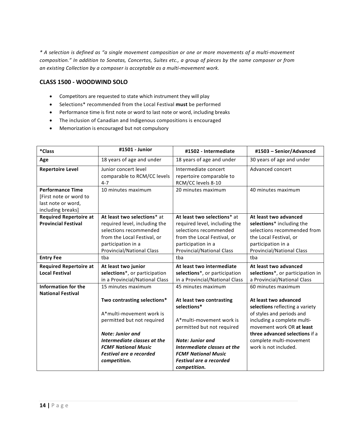#### **CLASS 1500 - WOODWIND SOLO**

- Competitors are requested to state which instrument they will play
- Selections\* recommended from the Local Festival **must** be performed
- Performance time is first note or word to last note or word, including breaks
- The inclusion of Canadian and Indigenous compositions is encouraged
- Memorization is encouraged but not compulsory

| *Class                        | #1501 - Junior                                                 | #1502 - Intermediate                                                   | #1503 - Senior/Advanced          |
|-------------------------------|----------------------------------------------------------------|------------------------------------------------------------------------|----------------------------------|
| Age                           | 18 years of age and under                                      | 18 years of age and under                                              | 30 years of age and under        |
| <b>Repertoire Level</b>       | Junior concert level<br>comparable to RCM/CC levels<br>$4 - 7$ | Intermediate concert<br>repertoire comparable to<br>RCM/CC levels 8-10 | Advanced concert                 |
| <b>Performance Time</b>       | 10 minutes maximum                                             | 20 minutes maximum                                                     | 40 minutes maximum               |
| [First note or word to        |                                                                |                                                                        |                                  |
| last note or word,            |                                                                |                                                                        |                                  |
| including breaks]             |                                                                |                                                                        |                                  |
| <b>Required Repertoire at</b> | At least two selections* at                                    | At least two selections* at                                            | At least two advanced            |
| <b>Provincial Festival</b>    | required level, including the                                  | required level, including the                                          | selections* including the        |
|                               | selections recommended                                         | selections recommended                                                 | selections recommended from      |
|                               | from the Local Festival, or                                    | from the Local Festival, or                                            | the Local Festival, or           |
|                               | participation in a                                             | participation in a                                                     | participation in a               |
|                               | <b>Provincial/National Class</b>                               | <b>Provincial/National Class</b>                                       | <b>Provincial/National Class</b> |
| <b>Entry Fee</b>              | tba                                                            | tba                                                                    | tba                              |
| <b>Required Repertoire at</b> | At least two junior<br>At least two intermediate               |                                                                        | At least two advanced            |
| <b>Local Festival</b>         | selections*, or participation                                  | selections*, or participation                                          | selections*, or participation in |
|                               | in a Provincial/National Class                                 | in a Provincial/National Class                                         | a Provincial/National Class      |
| <b>Information for the</b>    | 15 minutes maximum                                             | 45 minutes maximum                                                     | 60 minutes maximum               |
| <b>National Festival</b>      |                                                                |                                                                        |                                  |
|                               | Two contrasting selections*                                    | At least two contrasting                                               | At least two advanced            |
|                               |                                                                | selections*                                                            | selections reflecting a variety  |
|                               | A*multi-movement work is                                       |                                                                        | of styles and periods and        |
|                               | permitted but not required                                     | A*multi-movement work is                                               | including a complete multi-      |
|                               |                                                                | permitted but not required                                             | movement work OR at least        |
|                               | <b>Note: Junior and</b>                                        |                                                                        | three advanced selections if a   |
|                               | Intermediate classes at the                                    | <b>Note: Junior and</b>                                                | complete multi-movement          |
|                               | <b>FCMF National Music</b>                                     | Intermediate classes at the                                            | work is not included.            |
|                               | <b>Festival are a recorded</b>                                 | <b>FCMF National Music</b>                                             |                                  |
|                               | competition.                                                   | Festival are a recorded                                                |                                  |
|                               |                                                                | competition.                                                           |                                  |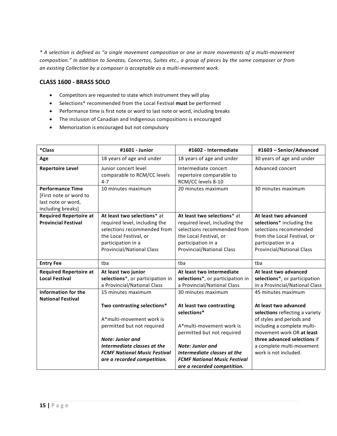#### **CLASS 1600 - BRASS SOLO**

- Competitors are requested to state which instrument they will play
- Selections\* recommended from the Local Festival **must** be performed
- Performance time is first note or word to last note or word, including breaks
- The inclusion of Canadian and Indigenous compositions is encouraged
- Memorization is encouraged but not compulsory

| *Class                                                 | #1601 - Junior                                                 | #1602 - Intermediate                                                   | #1603 - Senior/Advanced          |
|--------------------------------------------------------|----------------------------------------------------------------|------------------------------------------------------------------------|----------------------------------|
| Age                                                    | 18 years of age and under                                      | 18 years of age and under                                              | 30 years of age and under        |
| <b>Repertoire Level</b>                                | Junior concert level<br>comparable to RCM/CC levels<br>$4 - 7$ | Intermediate concert<br>repertoire comparable to<br>RCM/CC levels 8-10 | Advanced concert                 |
| <b>Performance Time</b>                                | 10 minutes maximum                                             | 20 minutes maximum                                                     | 30 minutes maximum               |
| [First note or word to                                 |                                                                |                                                                        |                                  |
| last note or word,                                     |                                                                |                                                                        |                                  |
| including breaks]                                      |                                                                |                                                                        |                                  |
| <b>Required Repertoire at</b>                          | At least two selections* at                                    | At least two selections* at                                            | At least two advanced            |
| <b>Provincial Festival</b>                             | required level, including the                                  | required level, including the                                          | selections* including the        |
|                                                        | selections recommended from                                    | selections recommended from                                            | selections recommended           |
|                                                        | the Local Festival, or                                         | the Local Festival, or                                                 | from the Local Festival, or      |
|                                                        | participation in a                                             | participation in a                                                     | participation in a               |
|                                                        | <b>Provincial/National Class</b>                               | <b>Provincial/National Class</b>                                       | <b>Provincial/National Class</b> |
|                                                        |                                                                |                                                                        |                                  |
| <b>Entry Fee</b>                                       | tba                                                            | tba                                                                    | tba                              |
| <b>Required Repertoire at</b>                          | At least two junior                                            | At least two intermediate                                              | At least two advanced            |
| <b>Local Festival</b>                                  | selections*, or participation in                               | selections*, or participation in                                       | selections*, or participation    |
|                                                        | a Provincial/National Class                                    | a Provincial/National Class                                            | in a Provincial/National Class   |
| <b>Information for the</b><br><b>National Festival</b> | 15 minutes maximum                                             | 30 minutes maximum                                                     | 45 minutes maximum               |
|                                                        | Two contrasting selections*                                    | At least two contrasting                                               | At least two advanced            |
|                                                        |                                                                | selections*                                                            | selections reflecting a variety  |
|                                                        | A*multi-movement work is                                       |                                                                        | of styles and periods and        |
|                                                        | permitted but not required                                     | A*multi-movement work is                                               | including a complete multi-      |
|                                                        |                                                                | permitted but not required                                             | movement work OR at least        |
|                                                        | <b>Note: Junior and</b>                                        |                                                                        | three advanced selections if     |
|                                                        | Intermediate classes at the                                    | <b>Note: Junior and</b>                                                | a complete multi-movement        |
|                                                        | <b>FCMF National Music Festival</b>                            | Intermediate classes at the                                            | work is not included.            |
|                                                        | are a recorded competition.                                    | <b>FCMF National Music Festival</b>                                    |                                  |
|                                                        |                                                                | are a recorded competition.                                            |                                  |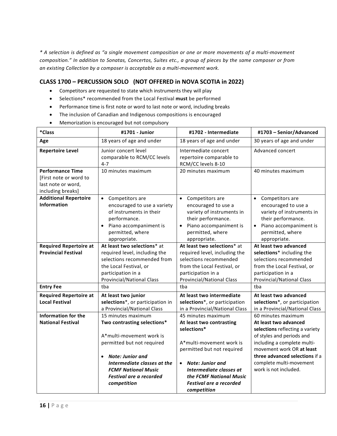## **CLASS 1700 – PERCUSSION SOLO (NOT OFFERED in NOVA SCOTIA in 2022)**

- Competitors are requested to state which instruments they will play
- Selections\* recommended from the Local Festival **must** be performed
- Performance time is first note or word to last note or word, including breaks
- The inclusion of Canadian and Indigenous compositions is encouraged
- Memorization is encouraged but not compulsory

| *Class                                                                                       | #1701 - Junior                                                                                                                                                                                                                                      | #1702 - Intermediate                                                                                                                                                                                                                                     | #1703 - Senior/Advanced                                                                                                                                                                                                                                       |
|----------------------------------------------------------------------------------------------|-----------------------------------------------------------------------------------------------------------------------------------------------------------------------------------------------------------------------------------------------------|----------------------------------------------------------------------------------------------------------------------------------------------------------------------------------------------------------------------------------------------------------|---------------------------------------------------------------------------------------------------------------------------------------------------------------------------------------------------------------------------------------------------------------|
| Age                                                                                          | 18 years of age and under                                                                                                                                                                                                                           | 18 years of age and under                                                                                                                                                                                                                                | 30 years of age and under                                                                                                                                                                                                                                     |
| <b>Repertoire Level</b>                                                                      | Junior concert level<br>comparable to RCM/CC levels<br>$4 - 7$                                                                                                                                                                                      | Intermediate concert<br>repertoire comparable to<br>RCM/CC levels 8-10                                                                                                                                                                                   | Advanced concert                                                                                                                                                                                                                                              |
| <b>Performance Time</b><br>[First note or word to<br>last note or word,<br>including breaks] | 10 minutes maximum                                                                                                                                                                                                                                  | 20 minutes maximum                                                                                                                                                                                                                                       | 40 minutes maximum                                                                                                                                                                                                                                            |
| <b>Additional Repertoire</b><br><b>Information</b>                                           | Competitors are<br>$\bullet$<br>encouraged to use a variety<br>of instruments in their<br>performance.<br>Piano accompaniment is<br>$\bullet$<br>permitted, where<br>appropriate.                                                                   | Competitors are<br>$\bullet$<br>encouraged to use a<br>variety of instruments in<br>their performance.<br>Piano accompaniment is<br>permitted, where<br>appropriate.                                                                                     | Competitors are<br>$\bullet$<br>encouraged to use a<br>variety of instruments in<br>their performance.<br>Piano accompaniment is<br>$\bullet$<br>permitted, where<br>appropriate.                                                                             |
| <b>Required Repertoire at</b><br><b>Provincial Festival</b>                                  | At least two selections* at<br>required level, including the<br>selections recommended from<br>the Local Festival, or<br>participation in a<br><b>Provincial/National Class</b>                                                                     | At least two selections* at<br>required level, including the<br>selections recommended<br>from the Local Festival, or<br>participation in a<br><b>Provincial/National Class</b>                                                                          | At least two advanced<br>selections* including the<br>selections recommended<br>from the Local Festival, or<br>participation in a<br>Provincial/National Class                                                                                                |
| <b>Entry Fee</b>                                                                             | tba                                                                                                                                                                                                                                                 | tba                                                                                                                                                                                                                                                      | tba                                                                                                                                                                                                                                                           |
| <b>Required Repertoire at</b><br><b>Local Festival</b>                                       | At least two junior<br>selections*, or participation in<br>a Provincial/National Class                                                                                                                                                              | At least two intermediate<br>selections*, or participation<br>in a Provincial/National Class                                                                                                                                                             | At least two advanced<br>selections*, or participation<br>in a Provincial/National Class                                                                                                                                                                      |
| <b>Information for the</b><br><b>National Festival</b>                                       | 15 minutes maximum<br>Two contrasting selections*<br>A*multi-movement work is<br>permitted but not required<br>Note: Junior and<br>$\bullet$<br>Intermediate classes at the<br><b>FCMF National Music</b><br>Festival are a recorded<br>competition | 45 minutes maximum<br>At least two contrasting<br>selections*<br>A*multi-movement work is<br>permitted but not required<br>Note: Junior and<br>$\bullet$<br>Intermediate classes at<br>the FCMF National Music<br>Festival are a recorded<br>competition | 60 minutes maximum<br>At least two advanced<br>selections reflecting a variety<br>of styles and periods and<br>including a complete multi-<br>movement work OR at least<br>three advanced selections if a<br>complete multi-movement<br>work is not included. |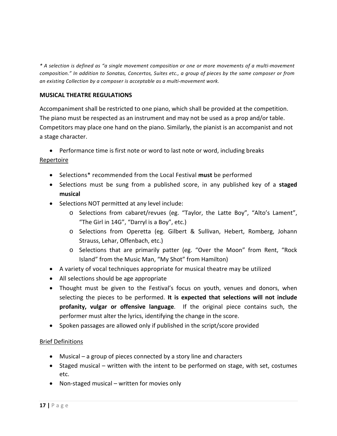## **MUSICAL THEATRE REGULATIONS**

Accompaniment shall be restricted to one piano, which shall be provided at the competition. The piano must be respected as an instrument and may not be used as a prop and/or table. Competitors may place one hand on the piano. Similarly, the pianist is an accompanist and not a stage character.

• Performance time is first note or word to last note or word, including breaks

#### Repertoire

- Selections\* recommended from the Local Festival **must** be performed
- Selections must be sung from a published score, in any published key of a **staged musical**
- Selections NOT permitted at any level include:
	- o Selections from cabaret/revues (eg. "Taylor, the Latte Boy", "Alto's Lament", "The Girl in 14G", "Darryl is a Boy", etc.)
	- o Selections from Operetta (eg. Gilbert & Sullivan, Hebert, Romberg, Johann Strauss, Lehar, Offenbach, etc.)
	- o Selections that are primarily patter (eg. "Over the Moon" from Rent, "Rock Island" from the Music Man, "My Shot" from Hamilton)
- A variety of vocal techniques appropriate for musical theatre may be utilized
- All selections should be age appropriate
- Thought must be given to the Festival's focus on youth, venues and donors, when selecting the pieces to be performed. **It is expected that selections will not include profanity, vulgar or offensive language**. If the original piece contains such, the performer must alter the lyrics, identifying the change in the score.
- Spoken passages are allowed only if published in the script/score provided

#### Brief Definitions

- Musical a group of pieces connected by a story line and characters
- Staged musical written with the intent to be performed on stage, with set, costumes etc.
- Non-staged musical written for movies only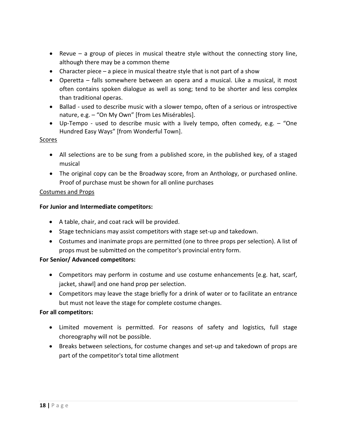- Revue a group of pieces in musical theatre style without the connecting story line, although there may be a common theme
- Character piece a piece in musical theatre style that is not part of a show
- Operetta falls somewhere between an opera and a musical. Like a musical, it most often contains spoken dialogue as well as song; tend to be shorter and less complex than traditional operas.
- Ballad used to describe music with a slower tempo, often of a serious or introspective nature, e.g. – "On My Own" [from Les Misérables].
- Up-Tempo used to describe music with a lively tempo, often comedy, e.g. "One Hundred Easy Ways" [from Wonderful Town].

## Scores

- All selections are to be sung from a published score, in the published key, of a staged musical
- The original copy can be the Broadway score, from an Anthology, or purchased online. Proof of purchase must be shown for all online purchases

## Costumes and Props

## **For Junior and Intermediate competitors:**

- A table, chair, and coat rack will be provided.
- Stage technicians may assist competitors with stage set-up and takedown.
- Costumes and inanimate props are permitted (one to three props per selection). A list of props must be submitted on the competitor's provincial entry form.

## **For Senior/ Advanced competitors:**

- Competitors may perform in costume and use costume enhancements [e.g. hat, scarf, jacket, shawl] and one hand prop per selection.
- Competitors may leave the stage briefly for a drink of water or to facilitate an entrance but must not leave the stage for complete costume changes.

## **For all competitors:**

- Limited movement is permitted. For reasons of safety and logistics, full stage choreography will not be possible.
- Breaks between selections, for costume changes and set-up and takedown of props are part of the competitor's total time allotment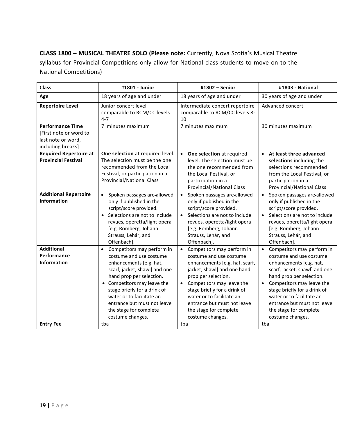**CLASS 1800 – MUSICAL THEATRE SOLO (Please note:** Currently, Nova Scotia's Musical Theatre syllabus for Provincial Competitions only allow for National class students to move on to the National Competitions)

| <b>Class</b>                                                                                 | #1801 - Junior                                                                                                                                                                                                                                                                                                                    | #1802 - Senior                                                                                                                                                                                                                                                                                                           | #1803 - National                                                                                                                                                                                                                                                                                                                               |
|----------------------------------------------------------------------------------------------|-----------------------------------------------------------------------------------------------------------------------------------------------------------------------------------------------------------------------------------------------------------------------------------------------------------------------------------|--------------------------------------------------------------------------------------------------------------------------------------------------------------------------------------------------------------------------------------------------------------------------------------------------------------------------|------------------------------------------------------------------------------------------------------------------------------------------------------------------------------------------------------------------------------------------------------------------------------------------------------------------------------------------------|
| Age                                                                                          | 18 years of age and under                                                                                                                                                                                                                                                                                                         | 18 years of age and under                                                                                                                                                                                                                                                                                                | 30 years of age and under                                                                                                                                                                                                                                                                                                                      |
| <b>Repertoire Level</b>                                                                      | Junior concert level<br>comparable to RCM/CC levels<br>$4 - 7$                                                                                                                                                                                                                                                                    | Intermediate concert repertoire<br>comparable to RCM/CC levels 8-<br>10                                                                                                                                                                                                                                                  | Advanced concert                                                                                                                                                                                                                                                                                                                               |
| <b>Performance Time</b><br>[First note or word to<br>last note or word,<br>including breaks] | 7 minutes maximum                                                                                                                                                                                                                                                                                                                 | 7 minutes maximum                                                                                                                                                                                                                                                                                                        | 30 minutes maximum                                                                                                                                                                                                                                                                                                                             |
| <b>Required Repertoire at</b><br><b>Provincial Festival</b>                                  | One selection at required level.<br>The selection must be the one<br>recommended from the Local<br>Festival, or participation in a<br><b>Provincial/National Class</b>                                                                                                                                                            | • One selection at required<br>level. The selection must be<br>the one recommended from<br>the Local Festival, or<br>participation in a<br><b>Provincial/National Class</b>                                                                                                                                              | • At least three advanced<br>selections including the<br>selections recommended<br>from the Local Festival, or<br>participation in a<br><b>Provincial/National Class</b>                                                                                                                                                                       |
| <b>Additional Repertoire</b><br><b>Information</b>                                           | Spoken passages are-allowed<br>$\bullet$<br>only if published in the<br>script/score provided.<br>Selections are not to include<br>revues, operetta/light opera<br>[e.g. Romberg, Johann<br>Strauss, Lehár, and<br>Offenbach].                                                                                                    | Spoken passages are-allowed<br>$\bullet$<br>only if published in the<br>script/score provided.<br>Selections are not to include<br>$\bullet$<br>revues, operetta/light opera<br>[e.g. Romberg, Johann<br>Strauss, Lehár, and<br>Offenbach].                                                                              | Spoken passages are-allowed<br>$\bullet$<br>only if published in the<br>script/score provided.<br>Selections are not to include<br>$\bullet$<br>revues, operetta/light opera<br>[e.g. Romberg, Johann<br>Strauss, Lehár, and<br>Offenbach].                                                                                                    |
| <b>Additional</b><br>Performance<br><b>Information</b>                                       | Competitors may perform in<br>$\bullet$<br>costume and use costume<br>enhancements [e.g. hat,<br>scarf, jacket, shawl] and one<br>hand prop per selection.<br>Competitors may leave the<br>stage briefly for a drink of<br>water or to facilitate an<br>entrance but must not leave<br>the stage for complete<br>costume changes. | • Competitors may perform in<br>costume and use costume<br>enhancements [e.g. hat, scarf,<br>jacket, shawl] and one hand<br>prop per selection.<br>• Competitors may leave the<br>stage briefly for a drink of<br>water or to facilitate an<br>entrance but must not leave<br>the stage for complete<br>costume changes. | Competitors may perform in<br>$\bullet$<br>costume and use costume<br>enhancements [e.g. hat,<br>scarf, jacket, shawl] and one<br>hand prop per selection.<br>Competitors may leave the<br>$\bullet$<br>stage briefly for a drink of<br>water or to facilitate an<br>entrance but must not leave<br>the stage for complete<br>costume changes. |
| <b>Entry Fee</b>                                                                             | tba                                                                                                                                                                                                                                                                                                                               | tba                                                                                                                                                                                                                                                                                                                      | tba                                                                                                                                                                                                                                                                                                                                            |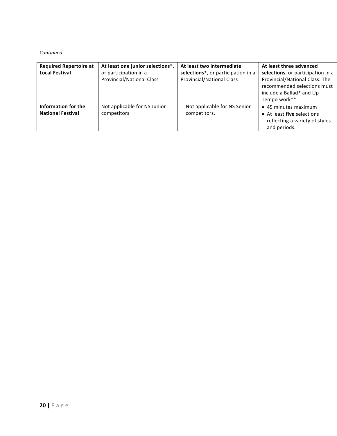*Continued …*

| <b>Required Repertoire at</b><br><b>Local Festival</b> | At least one junior selections*,<br>or participation in a<br><b>Provincial/National Class</b> | At least two intermediate<br>selections*, or participation in a<br><b>Provincial/National Class</b> | At least three advanced<br>selections, or participation in a<br>Provincial/National Class. The<br>recommended selections must<br>include a Ballad* and Up-<br>Tempo work**. |
|--------------------------------------------------------|-----------------------------------------------------------------------------------------------|-----------------------------------------------------------------------------------------------------|-----------------------------------------------------------------------------------------------------------------------------------------------------------------------------|
| Information for the<br><b>National Festival</b>        | Not applicable for NS Junior<br>competitors                                                   | Not applicable for NS Senior<br>competitors.                                                        | • 45 minutes maximum<br>• At least five selections<br>reflecting a variety of styles<br>and periods.                                                                        |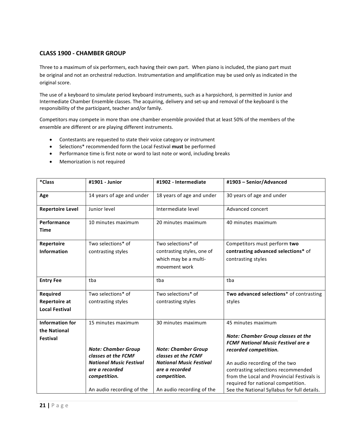### **CLASS 1900 - CHAMBER GROUP**

Three to a maximum of six performers, each having their own part. When piano is included, the piano part must be original and not an orchestral reduction. Instrumentation and amplification may be used only as indicated in the original score.

The use of a keyboard to simulate period keyboard instruments, such as a harpsichord, is permitted in Junior and Intermediate Chamber Ensemble classes. The acquiring, delivery and set-up and removal of the keyboard is the responsibility of the participant, teacher and/or family.

Competitors may compete in more than one chamber ensemble provided that at least 50% of the members of the ensemble are different or are playing different instruments.

- Contestants are requested to state their voice category or instrument
- Selections\* recommended form the Local Festival **must** be performed
- Performance time is first note or word to last note or word, including breaks
- Memorization is not required

| *Class                  | #1901 - Junior                 | #1902 - Intermediate           | #1903 - Senior/Advanced                     |
|-------------------------|--------------------------------|--------------------------------|---------------------------------------------|
| Age                     | 14 years of age and under      | 18 years of age and under      | 30 years of age and under                   |
| <b>Repertoire Level</b> | Junior level                   | Intermediate level             | Advanced concert                            |
| Performance             | 10 minutes maximum             | 20 minutes maximum             | 40 minutes maximum                          |
| <b>Time</b>             |                                |                                |                                             |
| Repertoire              | Two selections* of             | Two selections* of             | Competitors must perform two                |
| <b>Information</b>      | contrasting styles             | contrasting styles, one of     | contrasting advanced selections* of         |
|                         |                                | which may be a multi-          | contrasting styles                          |
|                         |                                | movement work                  |                                             |
| <b>Entry Fee</b>        | tba                            | tba                            | tba                                         |
| Required                | Two selections* of             | Two selections* of             | Two advanced selections* of contrasting     |
| <b>Repertoire at</b>    | contrasting styles             | contrasting styles             | styles                                      |
| <b>Local Festival</b>   |                                |                                |                                             |
| <b>Information for</b>  | 15 minutes maximum             | 30 minutes maximum             | 45 minutes maximum                          |
| the National            |                                |                                |                                             |
| Festival                |                                |                                | Note: Chamber Group classes at the          |
|                         | <b>Note: Chamber Group</b>     | <b>Note: Chamber Group</b>     | <b>FCMF National Music Festival are a</b>   |
|                         | classes at the FCMF            | classes at the FCMF            | recorded competition.                       |
|                         | <b>National Music Festival</b> | <b>National Music Festival</b> | An audio recording of the two               |
|                         | are a recorded                 | are a recorded                 | contrasting selections recommended          |
|                         | competition.                   | competition.                   | from the Local and Provincial Festivals is  |
|                         |                                |                                | required for national competition.          |
|                         | An audio recording of the      | An audio recording of the      | See the National Syllabus for full details. |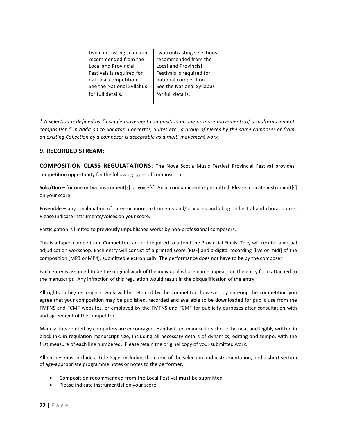| two contrasting selections<br>recommended from the<br>Local and Provincial      | two contrasting selections<br>recommended from the<br>Local and Provincial      |
|---------------------------------------------------------------------------------|---------------------------------------------------------------------------------|
| Festivals is required for<br>national competition.<br>See the National Syllabus | Festivals is required for<br>national competition.<br>See the National Syllabus |
| for full details.                                                               | for full details.                                                               |

#### **9. RECORDED STREAM:**

**COMPOSITION CLASS REGULATATIONS:** The Nova Scotia Music Festival Provincial Festival provides competition opportunity for the following types of composition:

**Solo/Duo** – for one or two instrument[s] or voice[s]. An accompaniment is permitted. Please indicate instrument[s] on your score.

**Ensemble** – any combination of three or more instruments and/or voices, including orchestral and choral scores. Please indicate instruments/voices on your score.

Participation is limited to previously unpublished works by non-professional composers.

This is a taped competition. Competitors are not required to attend the Provincial Finals. They will receive a virtual adjudication workshop. Each entry will consist of a printed score [PDF] and a digital recording [live or midi] of the composition [MP3 or MP4], submitted electronically. The performance does not have to be by the composer.

Each entry is assumed to be the original work of the individual whose name appears on the entry form attached to the manuscript. Any infraction of this regulation would result in the disqualification of the entry.

All rights to his/her original work will be retained by the competitor; however, by entering the competition you agree that your composition may be published, recorded and available to be downloaded for public use from the FMFNS and FCMF websites, or employed by the FMFNS and FCMF for publicity purposes after consultation with and agreement of the competitor.

Manuscripts printed by computers are encouraged. Handwritten manuscripts should be neat and legibly written in black ink, in regulation manuscript size, including all necessary details of dynamics, editing and tempo, with the first measure of each line numbered. Please retain the original copy of your submitted work.

All entries must include a Title Page, including the name of the selection and instrumentation, and a short section of age-appropriate programme notes or notes to the performer.

- Composition recommended from the Local Festival **must** be submitted
- Please indicate instrument[s] on your score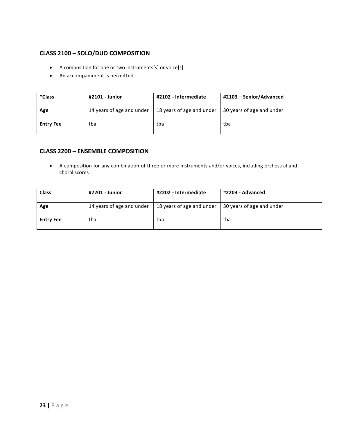## **CLASS 2100 – SOLO/DUO COMPOSITION**

- A composition for one or two instruments[s] or voice[s]
- An accompaniment is permitted

| *Class           | #2101 - Junior            | #2102 - Intermediate      | #2103 - Senior/Advanced   |
|------------------|---------------------------|---------------------------|---------------------------|
| Age              | 14 years of age and under | 18 years of age and under | 30 years of age and under |
| <b>Entry Fee</b> | tba                       | tba                       | tba                       |

#### **CLASS 2200 – ENSEMBLE COMPOSITION**

• A composition for any combination of three or more instruments and/or voices, including orchestral and choral scores

| <b>Class</b>     | #2201 - Junior            | #2202 - Intermediate      | #2203 - Advanced          |
|------------------|---------------------------|---------------------------|---------------------------|
| Age              | 14 years of age and under | 18 years of age and under | 30 years of age and under |
| <b>Entry Fee</b> | tba                       | tba                       | tba                       |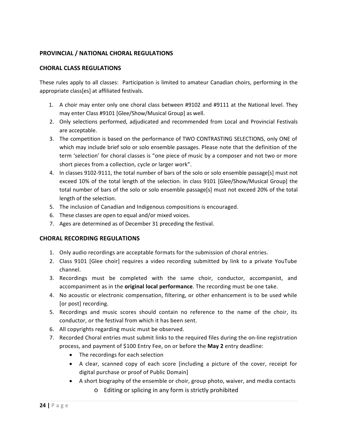## **PROVINCIAL / NATIONAL CHORAL REGULATIONS**

#### **CHORAL CLASS REGULATIONS**

These rules apply to all classes: Participation is limited to amateur Canadian choirs, performing in the appropriate class[es] at affiliated festivals.

- 1. A choir may enter only one choral class between #9102 and #9111 at the National level. They may enter Class #9101 [Glee/Show/Musical Group] as well.
- 2. Only selections performed, adjudicated and recommended from Local and Provincial Festivals are acceptable.
- 3. The competition is based on the performance of TWO CONTRASTING SELECTIONS, only ONE of which may include brief solo or solo ensemble passages. Please note that the definition of the term 'selection' for choral classes is "one piece of music by a composer and not two or more short pieces from a collection, cycle or larger work".
- 4. In classes 9102-9111, the total number of bars of the solo or solo ensemble passage[s] must not exceed 10% of the total length of the selection. In class 9101 [Glee/Show/Musical Group] the total number of bars of the solo or solo ensemble passage[s] must not exceed 20% of the total length of the selection.
- 5. The inclusion of Canadian and Indigenous compositions is encouraged.
- 6. These classes are open to equal and/or mixed voices.
- 7. Ages are determined as of December 31 preceding the festival.

#### **CHORAL RECORDING REGULATIONS**

- 1. Only audio recordings are acceptable formats for the submission of choral entries.
- 2. Class 9101 [Glee choir] requires a video recording submitted by link to a private YouTube channel.
- 3. Recordings must be completed with the same choir, conductor, accompanist, and accompaniment as in the **original local performance**. The recording must be one take.
- 4. No acoustic or electronic compensation, filtering, or other enhancement is to be used while [or post] recording.
- 5. Recordings and music scores should contain no reference to the name of the choir, its conductor, or the festival from which it has been sent.
- 6. All copyrights regarding music must be observed.
- 7. Recorded Choral entries must submit links to the required files during the on-line registration process, and payment of \$100 Entry Fee, on or before the **May 2** entry deadline:
	- The recordings for each selection
	- A clear, scanned copy of each score [including a picture of the cover, receipt for digital purchase or proof of Public Domain]
	- A short biography of the ensemble or choir, group photo, waiver, and media contacts o Editing or splicing in any form is strictly prohibited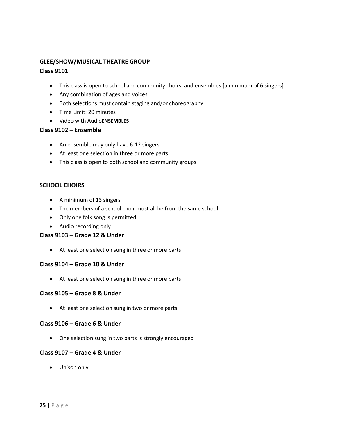## **GLEE/SHOW/MUSICAL THEATRE GROUP**

## **Class 9101**

- This class is open to school and community choirs, and ensembles [a minimum of 6 singers]
- Any combination of ages and voices
- Both selections must contain staging and/or choreography
- Time Limit: 20 minutes
- Video with Audio**ENSEMBLES**

#### **Class 9102 – Ensemble**

- An ensemble may only have 6-12 singers
- At least one selection in three or more parts
- This class is open to both school and community groups

#### **SCHOOL CHOIRS**

- A minimum of 13 singers
- The members of a school choir must all be from the same school
- Only one folk song is permitted
- Audio recording only

#### **Class 9103 – Grade 12 & Under**

• At least one selection sung in three or more parts

#### **Class 9104 – Grade 10 & Under**

• At least one selection sung in three or more parts

#### **Class 9105 – Grade 8 & Under**

• At least one selection sung in two or more parts

#### **Class 9106 – Grade 6 & Under**

• One selection sung in two parts is strongly encouraged

#### **Class 9107 – Grade 4 & Under**

• Unison only